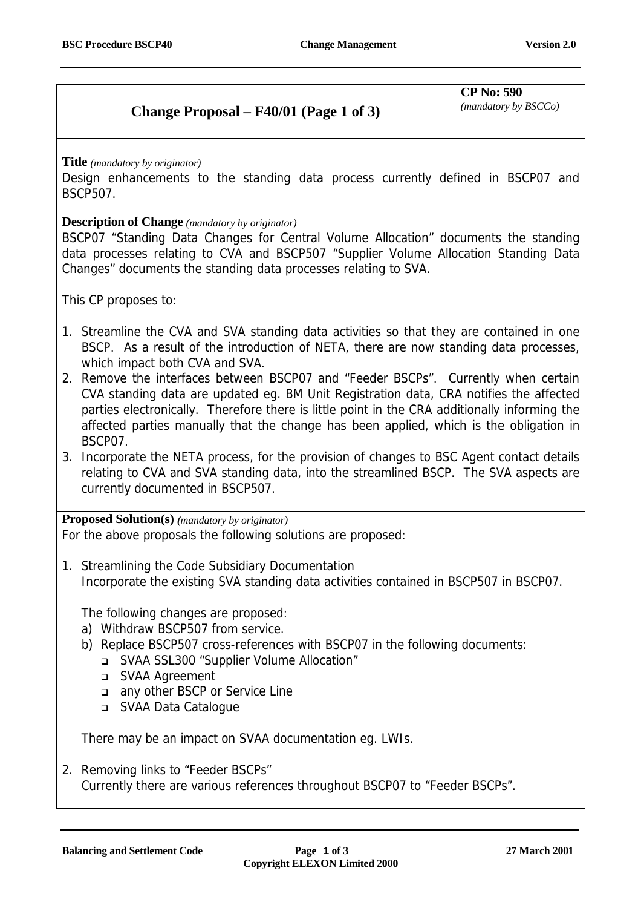## **Change Proposal – F40/01 (Page 1 of 3)**

**CP No: 590**

*(mandatory by BSCCo)*

**Title** *(mandatory by originator)*

Design enhancements to the standing data process currently defined in BSCP07 and BSCP507.

**Description of Change** *(mandatory by originator)*

BSCP07 "Standing Data Changes for Central Volume Allocation" documents the standing data processes relating to CVA and BSCP507 "Supplier Volume Allocation Standing Data Changes" documents the standing data processes relating to SVA.

This CP proposes to:

- 1. Streamline the CVA and SVA standing data activities so that they are contained in one BSCP. As a result of the introduction of NETA, there are now standing data processes, which impact both CVA and SVA.
- 2. Remove the interfaces between BSCP07 and "Feeder BSCPs". Currently when certain CVA standing data are updated eg. BM Unit Registration data, CRA notifies the affected parties electronically. Therefore there is little point in the CRA additionally informing the affected parties manually that the change has been applied, which is the obligation in BSCP07.
- 3. Incorporate the NETA process, for the provision of changes to BSC Agent contact details relating to CVA and SVA standing data, into the streamlined BSCP. The SVA aspects are currently documented in BSCP507.

**Proposed Solution(s)** *(mandatory by originator)*

For the above proposals the following solutions are proposed:

1. Streamlining the Code Subsidiary Documentation Incorporate the existing SVA standing data activities contained in BSCP507 in BSCP07.

The following changes are proposed:

- a) Withdraw BSCP507 from service.
- b) Replace BSCP507 cross-references with BSCP07 in the following documents:
	- ! SVAA SSL300 "Supplier Volume Allocation"
	- □ SVAA Agreement
	- any other BSCP or Service Line
	- SVAA Data Catalogue

There may be an impact on SVAA documentation eg. LWIs.

2. Removing links to "Feeder BSCPs" Currently there are various references throughout BSCP07 to "Feeder BSCPs".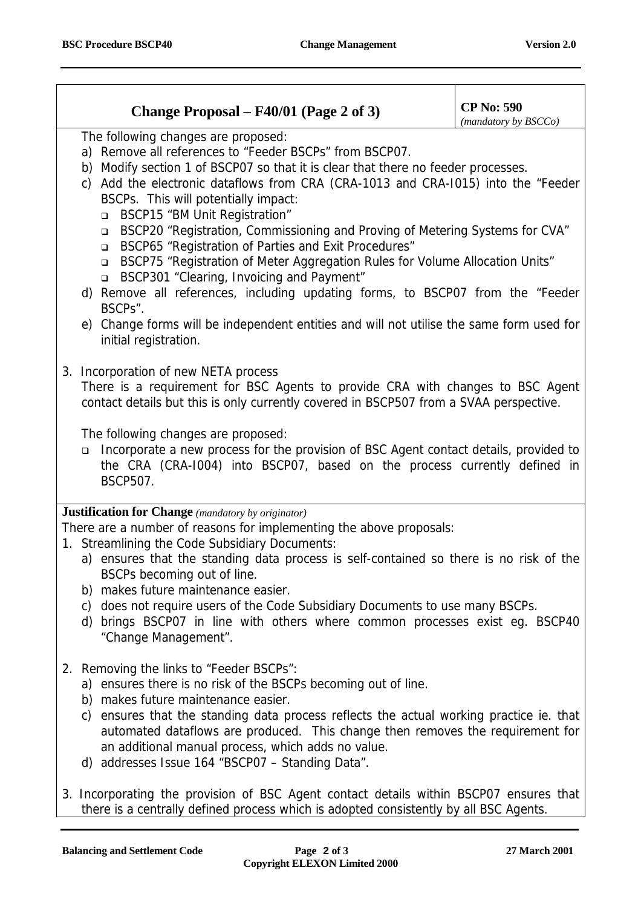## **Change Proposal – F40/01 (Page 2 of 3)** CP No: 590

*(mandatory by BSCCo)*

The following changes are proposed:

- a) Remove all references to "Feeder BSCPs" from BSCP07.
- b) Modify section 1 of BSCP07 so that it is clear that there no feeder processes.
- c) Add the electronic dataflows from CRA (CRA-1013 and CRA-I015) into the "Feeder BSCPs. This will potentially impact:
	- □ BSCP15 "BM Unit Registration"
	- □ BSCP20 "Registration, Commissioning and Proving of Metering Systems for CVA"
	- ! BSCP65 "Registration of Parties and Exit Procedures"
	- ! BSCP75 "Registration of Meter Aggregation Rules for Volume Allocation Units"
	- ! BSCP301 "Clearing, Invoicing and Payment"
- d) Remove all references, including updating forms, to BSCP07 from the "Feeder BSCPs".
- e) Change forms will be independent entities and will not utilise the same form used for initial registration.
- 3. Incorporation of new NETA process

There is a requirement for BSC Agents to provide CRA with changes to BSC Agent contact details but this is only currently covered in BSCP507 from a SVAA perspective.

The following changes are proposed:

! Incorporate a new process for the provision of BSC Agent contact details, provided to the CRA (CRA-I004) into BSCP07, based on the process currently defined in BSCP507.

## **Justification for Change** *(mandatory by originator)*

There are a number of reasons for implementing the above proposals:

- 1. Streamlining the Code Subsidiary Documents:
	- a) ensures that the standing data process is self-contained so there is no risk of the BSCPs becoming out of line.
	- b) makes future maintenance easier.
	- c) does not require users of the Code Subsidiary Documents to use many BSCPs.
	- d) brings BSCP07 in line with others where common processes exist eg. BSCP40 "Change Management".
- 2. Removing the links to "Feeder BSCPs":
	- a) ensures there is no risk of the BSCPs becoming out of line.
	- b) makes future maintenance easier.
	- c) ensures that the standing data process reflects the actual working practice ie. that automated dataflows are produced. This change then removes the requirement for an additional manual process, which adds no value.
	- d) addresses Issue 164 "BSCP07 Standing Data".
- 3. Incorporating the provision of BSC Agent contact details within BSCP07 ensures that there is a centrally defined process which is adopted consistently by all BSC Agents.